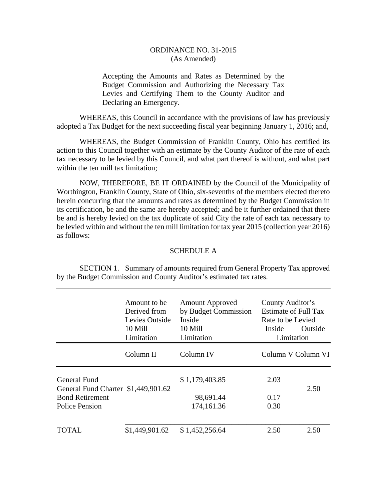## ORDINANCE NO. 31-2015 (As Amended)

Accepting the Amounts and Rates as Determined by the Budget Commission and Authorizing the Necessary Tax Levies and Certifying Them to the County Auditor and Declaring an Emergency.

 WHEREAS, this Council in accordance with the provisions of law has previously adopted a Tax Budget for the next succeeding fiscal year beginning January 1, 2016; and,

 WHEREAS, the Budget Commission of Franklin County, Ohio has certified its action to this Council together with an estimate by the County Auditor of the rate of each tax necessary to be levied by this Council, and what part thereof is without, and what part within the ten mill tax limitation:

 NOW, THEREFORE, BE IT ORDAINED by the Council of the Municipality of Worthington, Franklin County, State of Ohio, six-sevenths of the members elected thereto herein concurring that the amounts and rates as determined by the Budget Commission in its certification, be and the same are hereby accepted; and be it further ordained that there be and is hereby levied on the tax duplicate of said City the rate of each tax necessary to be levied within and without the ten mill limitation for tax year 2015 (collection year 2016) as follows:

## SCHEDULE A

 SECTION 1. Summary of amounts required from General Property Tax approved by the Budget Commission and County Auditor's estimated tax rates.

|                                                     | Amount to be<br>Derived from<br>Levies Outside<br>10 Mill<br>Limitation | <b>Amount Approved</b><br>by Budget Commission<br>Inside<br>10 Mill<br>Limitation | County Auditor's<br>Estimate of Full Tax<br>Rate to be Levied<br>Outside<br>Inside<br>Limitation |                    |
|-----------------------------------------------------|-------------------------------------------------------------------------|-----------------------------------------------------------------------------------|--------------------------------------------------------------------------------------------------|--------------------|
|                                                     | Column II                                                               | Column IV                                                                         |                                                                                                  | Column V Column VI |
| General Fund<br>General Fund Charter \$1,449,901.62 |                                                                         | \$1,179,403.85                                                                    | 2.03                                                                                             | 2.50               |
| <b>Bond Retirement</b><br><b>Police Pension</b>     |                                                                         | 98,691.44<br>174,161.36                                                           | 0.17<br>0.30                                                                                     |                    |
| TOTAL                                               | \$1,449,901.62                                                          | \$1,452,256.64                                                                    | 2.50                                                                                             | 2.50               |